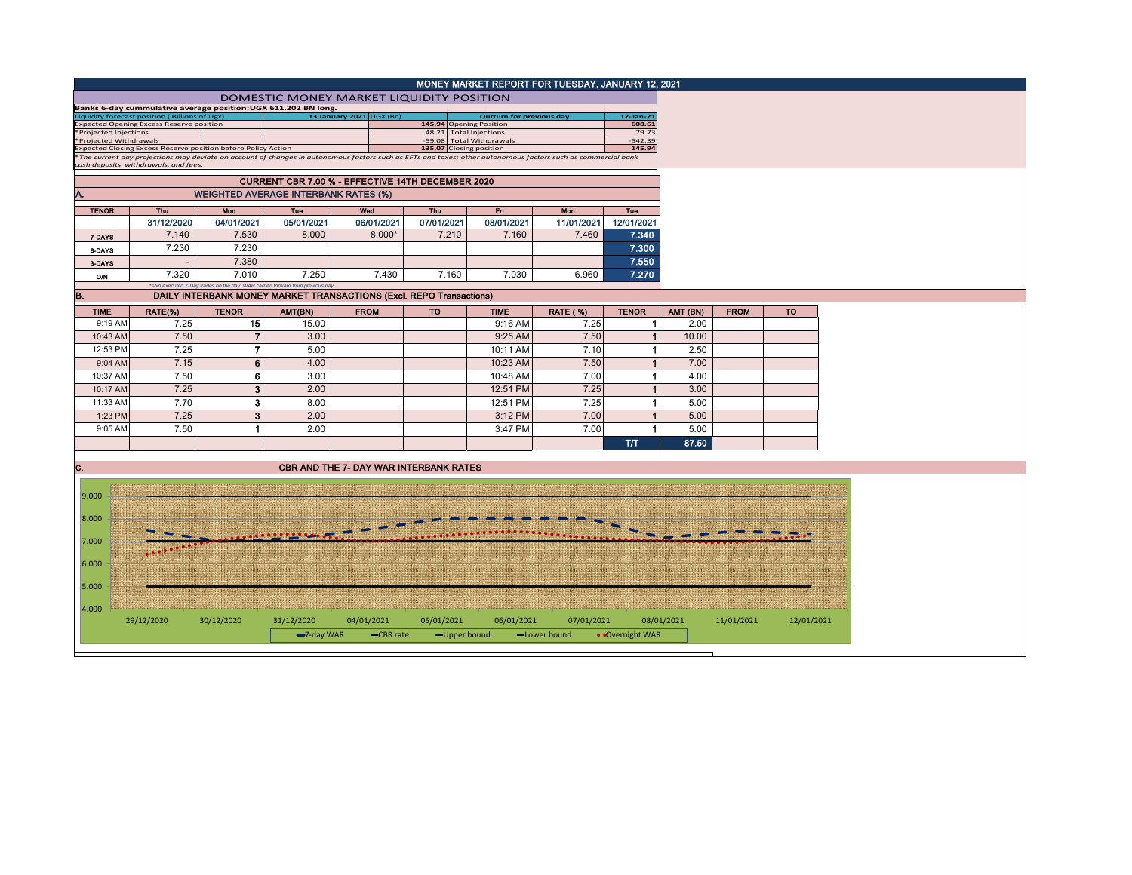|                                                                                                                                                                                                                                                         |                                                                                                  |                                                                                        |                                                                            |                                               |                                                    |                                 | MONEY MARKET REPORT FOR TUESDAY, JANUARY 12, 2021 |                      |            |             |            |
|---------------------------------------------------------------------------------------------------------------------------------------------------------------------------------------------------------------------------------------------------------|--------------------------------------------------------------------------------------------------|----------------------------------------------------------------------------------------|----------------------------------------------------------------------------|-----------------------------------------------|----------------------------------------------------|---------------------------------|---------------------------------------------------|----------------------|------------|-------------|------------|
|                                                                                                                                                                                                                                                         |                                                                                                  |                                                                                        | DOMESTIC MONEY MARKET LIQUIDITY POSITION                                   |                                               |                                                    |                                 |                                                   |                      |            |             |            |
|                                                                                                                                                                                                                                                         | iquidity forecast position (Billions of Ugx)                                                     |                                                                                        | Banks 6-day cummulative average position: UGX 611.202 BN long.             | 13 January 2021 UGX (Bn)                      |                                                    | <b>Outturn for previous day</b> |                                                   | 12-Jan-21            |            |             |            |
|                                                                                                                                                                                                                                                         | <b>Expected Opening Excess Reserve position</b>                                                  |                                                                                        |                                                                            |                                               | 145.94 Opening Position                            |                                 |                                                   | 608.61               |            |             |            |
| <b>Projected Injections</b><br>Projected Withdrawals                                                                                                                                                                                                    |                                                                                                  |                                                                                        |                                                                            |                                               | 48.21 Total Injections<br>-59.08 Total Withdrawals |                                 |                                                   | 79.73<br>$-542.39$   |            |             |            |
| xpected Closing Excess Reserve position before Policy Action<br>135.07 Closing position<br>The current day projections may deviate on account of changes in autonomous factors such as EFTs and taxes; other autonomous factors such as commercial bank |                                                                                                  |                                                                                        |                                                                            |                                               |                                                    | 145.94                          |                                                   |                      |            |             |            |
|                                                                                                                                                                                                                                                         | cash deposits, withdrawals, and fees.                                                            |                                                                                        |                                                                            |                                               |                                                    |                                 |                                                   |                      |            |             |            |
|                                                                                                                                                                                                                                                         | CURRENT CBR 7.00 % - EFFECTIVE 14TH DECEMBER 2020<br><b>WEIGHTED AVERAGE INTERBANK RATES (%)</b> |                                                                                        |                                                                            |                                               |                                                    |                                 |                                                   |                      |            |             |            |
| A.                                                                                                                                                                                                                                                      |                                                                                                  |                                                                                        |                                                                            |                                               |                                                    |                                 |                                                   |                      |            |             |            |
| <b>TENOR</b>                                                                                                                                                                                                                                            | Thu                                                                                              | Mon                                                                                    | <b>Tue</b>                                                                 | Wed                                           | Thu                                                | Fil                             | Mon                                               | <b>Tue</b>           |            |             |            |
|                                                                                                                                                                                                                                                         | 31/12/2020                                                                                       | 04/01/2021                                                                             | 05/01/2021                                                                 | 06/01/2021                                    | 07/01/2021                                         | 08/01/2021                      | 11/01/2021                                        | 12/01/2021           |            |             |            |
| 7 DAYS                                                                                                                                                                                                                                                  | 7.140                                                                                            | 7.530                                                                                  | 8.000                                                                      | $8.000*$                                      | 7.210                                              | 7.160                           | 7.460                                             | 7.340                |            |             |            |
| 6-DAYS                                                                                                                                                                                                                                                  | 7.230                                                                                            | 7.230                                                                                  |                                                                            |                                               |                                                    |                                 |                                                   | 7.300                |            |             |            |
| 3-DAYS                                                                                                                                                                                                                                                  |                                                                                                  | 7.380                                                                                  |                                                                            |                                               |                                                    |                                 |                                                   | 7.550                |            |             |            |
| <b>O/N</b>                                                                                                                                                                                                                                              | 7.320                                                                                            | 7.010<br>*=No executed 7-Day trades on the day. WAR carried forward from previous day. | 7.250                                                                      | 7.430                                         | 7.160                                              | 7.030                           | 6.960                                             | 7.270                |            |             |            |
| B.                                                                                                                                                                                                                                                      |                                                                                                  |                                                                                        | <b>DAILY INTERBANK MONEY MARKET TRANSACTIONS (Excl. REPO Transactions)</b> |                                               |                                                    |                                 |                                                   |                      |            |             |            |
| <b>TIME</b>                                                                                                                                                                                                                                             | RATE(%)                                                                                          | <b>TENOR</b>                                                                           | AMT(BN)                                                                    | <b>FROM</b>                                   | <b>TO</b>                                          | <b>TIME</b>                     | <b>RATE (%)</b>                                   | <b>TENOR</b>         | AMT (BN)   | <b>FROM</b> | <b>TO</b>  |
| 9:19 AM                                                                                                                                                                                                                                                 | 7.25                                                                                             | 15                                                                                     | 15.00                                                                      |                                               |                                                    | 9:16 AM                         | 7.25                                              | 1                    | 2.00       |             |            |
| 10:43 AM                                                                                                                                                                                                                                                | 7.50                                                                                             | $\overline{7}$                                                                         | 3.00                                                                       |                                               |                                                    | 9:25 AM                         | 7.50                                              | $\mathbf{1}$         | 10.00      |             |            |
| 12:53 PM                                                                                                                                                                                                                                                | 7.25                                                                                             | $\overline{7}$                                                                         | 5.00                                                                       |                                               |                                                    | 10:11 AM                        | 7.10                                              | 1                    | 2.50       |             |            |
| 9:04 AM                                                                                                                                                                                                                                                 | 7.15                                                                                             | 6                                                                                      | 4.00                                                                       |                                               |                                                    | 10:23 AM                        | 7.50                                              | $\mathbf{1}$         | 7.00       |             |            |
| 10:37 AM                                                                                                                                                                                                                                                | 7.50                                                                                             | 6                                                                                      | 3.00                                                                       |                                               |                                                    | 10:48 AM                        | 7.00                                              | $\blacktriangleleft$ | 4.00       |             |            |
| 10:17 AM                                                                                                                                                                                                                                                | 7.25                                                                                             | 3                                                                                      | 2.00                                                                       |                                               |                                                    | 12:51 PM                        | 7.25                                              | $\mathbf{1}$         | 3.00       |             |            |
| 11:33 AM                                                                                                                                                                                                                                                | 7.70                                                                                             | 3                                                                                      | 8.00                                                                       |                                               |                                                    | 12:51 PM                        | 7.25                                              | 1                    | 5.00       |             |            |
| 1:23 PM                                                                                                                                                                                                                                                 | 7.25                                                                                             | 3                                                                                      | 2.00                                                                       |                                               |                                                    | 3:12 PM                         | 7.00                                              | 1                    | 5.00       |             |            |
| 9:05 AM                                                                                                                                                                                                                                                 | 7.50                                                                                             | 1                                                                                      | 2.00                                                                       |                                               |                                                    | 3:47 PM                         | 7.00                                              | $\blacktriangleleft$ | 5.00       |             |            |
|                                                                                                                                                                                                                                                         |                                                                                                  |                                                                                        |                                                                            |                                               |                                                    |                                 |                                                   | <b>T/T</b>           | 87.50      |             |            |
|                                                                                                                                                                                                                                                         |                                                                                                  |                                                                                        |                                                                            |                                               |                                                    |                                 |                                                   |                      |            |             |            |
| C.                                                                                                                                                                                                                                                      |                                                                                                  |                                                                                        |                                                                            | <b>CBR AND THE 7- DAY WAR INTERBANK RATES</b> |                                                    |                                 |                                                   |                      |            |             |            |
|                                                                                                                                                                                                                                                         |                                                                                                  |                                                                                        |                                                                            |                                               |                                                    |                                 |                                                   |                      |            |             |            |
| 9.000                                                                                                                                                                                                                                                   |                                                                                                  |                                                                                        |                                                                            |                                               |                                                    |                                 |                                                   |                      |            |             |            |
| 8.000                                                                                                                                                                                                                                                   |                                                                                                  |                                                                                        |                                                                            |                                               |                                                    |                                 |                                                   |                      |            |             |            |
|                                                                                                                                                                                                                                                         |                                                                                                  |                                                                                        |                                                                            |                                               |                                                    |                                 |                                                   |                      |            |             |            |
| 7.000                                                                                                                                                                                                                                                   |                                                                                                  |                                                                                        |                                                                            |                                               |                                                    |                                 |                                                   |                      |            |             |            |
|                                                                                                                                                                                                                                                         |                                                                                                  |                                                                                        |                                                                            |                                               |                                                    |                                 |                                                   |                      |            |             |            |
| 6.000                                                                                                                                                                                                                                                   |                                                                                                  |                                                                                        |                                                                            |                                               |                                                    |                                 |                                                   |                      |            |             |            |
| 5.000                                                                                                                                                                                                                                                   |                                                                                                  |                                                                                        |                                                                            |                                               |                                                    |                                 |                                                   |                      |            |             |            |
|                                                                                                                                                                                                                                                         |                                                                                                  |                                                                                        |                                                                            |                                               |                                                    |                                 |                                                   |                      |            |             |            |
| 4.000                                                                                                                                                                                                                                                   |                                                                                                  |                                                                                        |                                                                            |                                               |                                                    |                                 |                                                   |                      |            |             |            |
|                                                                                                                                                                                                                                                         | 29/12/2020                                                                                       | 30/12/2020                                                                             | 31/12/2020                                                                 | 04/01/2021                                    | 05/01/2021                                         | 06/01/2021                      | 07/01/2021                                        |                      | 08/01/2021 | 11/01/2021  | 12/01/2021 |
|                                                                                                                                                                                                                                                         |                                                                                                  |                                                                                        | -7-day WAR                                                                 | -CBR rate                                     | -Upper bound                                       |                                 | -Lower bound                                      | • Overnight WAR      |            |             |            |
|                                                                                                                                                                                                                                                         |                                                                                                  |                                                                                        |                                                                            |                                               |                                                    |                                 |                                                   |                      |            |             |            |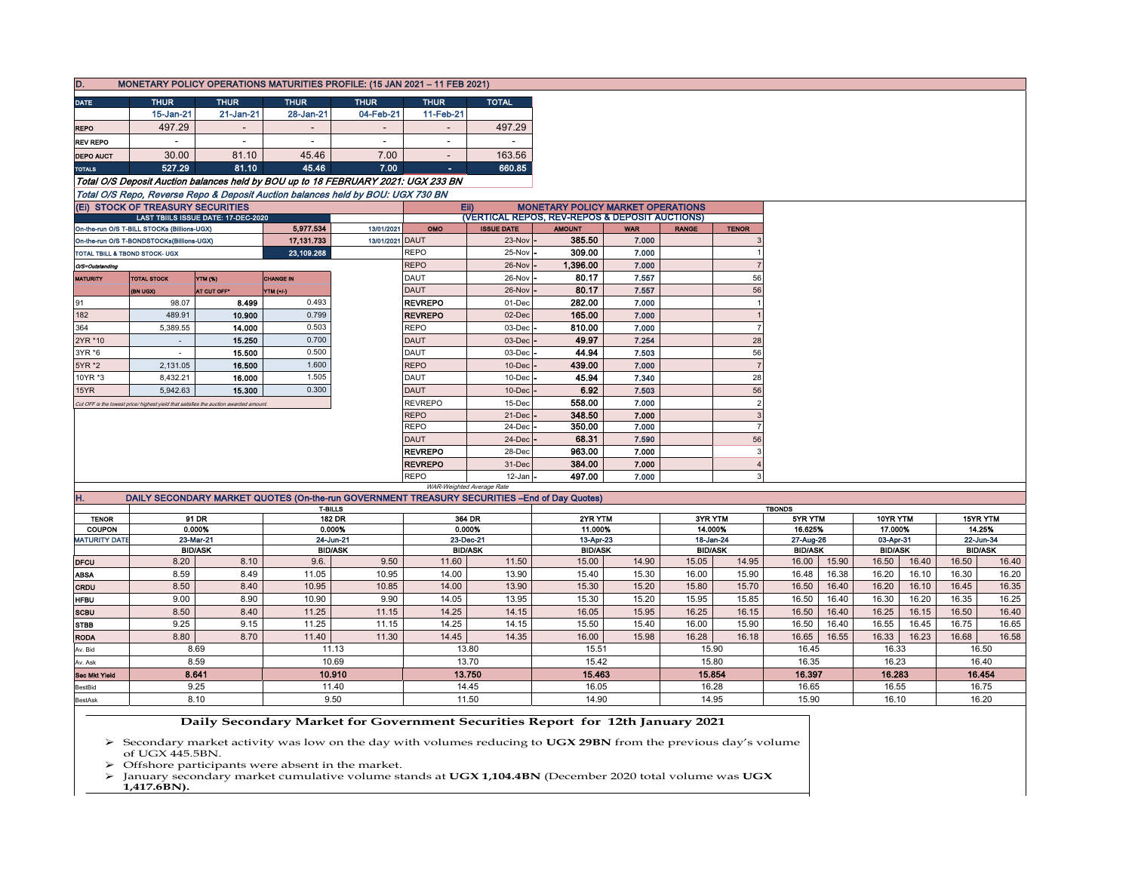| D.                                                                                    |                                                                                      |                                     |                          | MONETARY POLICY OPERATIONS MATURITIES PROFILE: (15 JAN 2021 - 11 FEB 2021)                     |                           |                        |                                                |            |                |                |                          |                |          |           |                |          |
|---------------------------------------------------------------------------------------|--------------------------------------------------------------------------------------|-------------------------------------|--------------------------|------------------------------------------------------------------------------------------------|---------------------------|------------------------|------------------------------------------------|------------|----------------|----------------|--------------------------|----------------|----------|-----------|----------------|----------|
| <b>DATE</b>                                                                           | <b>THUR</b>                                                                          | <b>THUR</b>                         | <b>THUR</b>              | <b>THUR</b>                                                                                    | <b>THUR</b>               | <b>TOTAL</b>           |                                                |            |                |                |                          |                |          |           |                |          |
|                                                                                       | 15-Jan-21                                                                            | 21-Jan-21                           | 28-Jan-21                | 04-Feb-21                                                                                      | 11-Feb-21                 |                        |                                                |            |                |                |                          |                |          |           |                |          |
| <b>REPO</b>                                                                           | 497.29                                                                               |                                     | $\overline{\phantom{a}}$ | $\sim$                                                                                         | $\blacksquare$            | 497.29                 |                                                |            |                |                |                          |                |          |           |                |          |
| <b>REV REPO</b>                                                                       |                                                                                      | $\overline{\phantom{a}}$            | $\sim$                   | $\blacksquare$                                                                                 | $\overline{\phantom{a}}$  |                        |                                                |            |                |                |                          |                |          |           |                |          |
| <b>DEPO AUCT</b>                                                                      | 30.00                                                                                | 81.10                               | 45.46                    | 7.00                                                                                           | $\overline{\phantom{a}}$  | 163.56                 |                                                |            |                |                |                          |                |          |           |                |          |
| <b>TOTALS</b>                                                                         | 527.29                                                                               | 81.10                               | 45.46                    | 7.00                                                                                           | $\sim$                    | 660.85                 |                                                |            |                |                |                          |                |          |           |                |          |
|                                                                                       |                                                                                      |                                     |                          | Total O/S Deposit Auction balances held by BOU up to 18 FEBRUARY 2021: UGX 233 BN              |                           |                        |                                                |            |                |                |                          |                |          |           |                |          |
|                                                                                       |                                                                                      |                                     |                          | Total O/S Repo, Reverse Repo & Deposit Auction balances held by BOU: UGX 730 BN                |                           |                        |                                                |            |                |                |                          |                |          |           |                |          |
| (Ei) STOCK OF TREASURY SECURITIES<br>EII)<br><b>MONETARY POLICY MARKET OPERATIONS</b> |                                                                                      |                                     |                          |                                                                                                |                           |                        |                                                |            |                |                |                          |                |          |           |                |          |
|                                                                                       |                                                                                      | LAST TBIILS ISSUE DATE: 17-DEC-2020 |                          |                                                                                                |                           |                        | (VERTICAL REPOS, REV-REPOS & DEPOSIT AUCTIONS) |            |                |                |                          |                |          |           |                |          |
|                                                                                       | On-the-run O/S T-BILL STOCKs (Billions-UGX)                                          |                                     | 5,977.534                | 13/01/2021                                                                                     | OMO                       | <b>ISSUE DATE</b>      | <b>AMOUNT</b>                                  | <b>WAR</b> | <b>RANGE</b>   | <b>TENOR</b>   |                          |                |          |           |                |          |
|                                                                                       | On-the-run O/S T-BONDSTOCKs(Billions-UGX)                                            |                                     | 17, 131, 733             | 13/01/2021 DAUT                                                                                |                           | $23-Nov -$             | 385.50                                         | 7.000      |                |                |                          |                |          |           |                |          |
|                                                                                       | TOTAL TBILL & TBOND STOCK- UGX                                                       |                                     | 23,109.268               |                                                                                                | <b>REPO</b>               | 25-Nov -               | 309.00                                         | 7.000      |                |                |                          |                |          |           |                |          |
| O/S=Outstanding                                                                       |                                                                                      |                                     |                          |                                                                                                | <b>REPO</b>               | $26$ -Nov $\vert$ -    | 1,396.00                                       | 7.000      |                | $\overline{7}$ |                          |                |          |           |                |          |
| <b>MATURITY</b>                                                                       | <b>TOTAL STOCK</b>                                                                   | YTM (%)                             | <b>CHANGE IN</b>         |                                                                                                | DAUT                      | 26-Nov -               | 80.17                                          | 7.557      |                | 56             |                          |                |          |           |                |          |
|                                                                                       | (BN UGX)                                                                             | AT CUT OFF*                         | YTM (+/-)                |                                                                                                | <b>DAUT</b>               | 26-Nov                 | 80.17                                          | 7.557      |                | 56             |                          |                |          |           |                |          |
| 91                                                                                    | 98.07                                                                                | 8.499                               | 0.493                    |                                                                                                | <b>REVREPO</b>            | 01-Dec                 | 282.00                                         | 7.000      |                |                |                          |                |          |           |                |          |
| 182                                                                                   | 489.91                                                                               | 10.900                              | 0.799                    |                                                                                                | <b>REVREPO</b>            | 02-Dec                 | 165.00                                         | 7.000      |                |                |                          |                |          |           |                |          |
| 364                                                                                   | 5,389.55                                                                             | 14.000                              | 0.503                    |                                                                                                | <b>REPO</b>               | 03-Dec                 | 810.00                                         | 7.000      |                | $\overline{7}$ |                          |                |          |           |                |          |
| 2YR *10                                                                               |                                                                                      | 15.250                              | 0.700                    |                                                                                                | <b>DAUT</b>               | 03-Dec                 | 49.97                                          | 7.254      |                | 28             |                          |                |          |           |                |          |
| 3YR *6                                                                                |                                                                                      | 15.500                              | 0.500                    |                                                                                                | <b>DAUT</b>               | 03-Dec                 | 44.94                                          | 7.503      |                | 56             |                          |                |          |           |                |          |
| 5YR *2                                                                                | 2,131.05                                                                             | 16.500                              | 1.600                    |                                                                                                | <b>REPO</b>               | $10$ -Dec              | 439.00                                         | 7.000      |                | $\overline{7}$ |                          |                |          |           |                |          |
| 10YR *3                                                                               | 8,432.21                                                                             | 16.000                              | 1.505                    |                                                                                                | <b>DAUT</b>               | $10$ -Dec $\cdot$      | 45.94                                          | 7.340      |                | 28             |                          |                |          |           |                |          |
| 15YR                                                                                  | 5.942.63                                                                             | 15.300                              | 0.300                    |                                                                                                | <b>DAUT</b>               | $10$ -Dec              | 6.92                                           | 7.503      |                | 56             |                          |                |          |           |                |          |
|                                                                                       | Cut OFF is the lowest price/ highest yield that satisfies the auction awarded amount |                                     |                          |                                                                                                | <b>REVREPO</b>            | 15-Dec                 | 558.00                                         | 7.000      |                | $\overline{2}$ |                          |                |          |           |                |          |
|                                                                                       |                                                                                      |                                     |                          |                                                                                                | <b>REPO</b>               | $21-Dec$               | 348.50                                         | 7.000      |                | 3              |                          |                |          |           |                |          |
|                                                                                       |                                                                                      |                                     |                          |                                                                                                | <b>REPO</b>               | 24-Dec                 | 350.00                                         | 7.000      |                | $\overline{7}$ |                          |                |          |           |                |          |
|                                                                                       |                                                                                      |                                     |                          |                                                                                                | <b>DAUT</b>               | 24-Dec                 | 68.31                                          | 7.590      |                | 56             |                          |                |          |           |                |          |
|                                                                                       |                                                                                      |                                     |                          |                                                                                                | <b>REVREPO</b>            | 28-Dec                 | 963.00                                         | 7.000      |                | 3              |                          |                |          |           |                |          |
|                                                                                       |                                                                                      |                                     |                          |                                                                                                | <b>REVREPO</b>            | 31-Dec                 | 384.00                                         | 7.000      |                |                |                          |                |          |           |                |          |
|                                                                                       |                                                                                      |                                     |                          |                                                                                                | <b>REPO</b>               | $12$ -Jan $-$          | 497.00                                         | 7.000      |                | $\mathbf{3}$   |                          |                |          |           |                |          |
|                                                                                       |                                                                                      |                                     |                          |                                                                                                | WAR-Weighted Average Rate |                        |                                                |            |                |                |                          |                |          |           |                |          |
| Ή.                                                                                    |                                                                                      |                                     |                          | DAILY SECONDARY MARKET QUOTES (On-the-run GOVERNMENT TREASURY SECURITIES -- End of Day Quotes) |                           |                        |                                                |            |                |                |                          |                |          |           |                |          |
| <b>TENOR</b>                                                                          |                                                                                      | 91 DR                               |                          | T-BILLS<br>182 DR                                                                              |                           |                        | 2YR YTM                                        |            |                | 3YR YTM        | <b>TBONDS</b><br>5YR YTM |                | 10YR YTM |           |                | 15YR YTM |
| COUPON                                                                                |                                                                                      | 0.000%                              |                          | 0.000%                                                                                         | 364 DR<br>0.000%          |                        | 11.000%                                        |            |                | 14.000%        | 16.625%                  |                | 17.000%  |           | 14.25%         |          |
| <b>MATURITY DATE</b>                                                                  |                                                                                      | 23-Mar-21                           |                          | 24-Jun-21                                                                                      |                           | 23-Dec-21<br>13-Apr-23 |                                                | 18-Jan-24  |                | 27-Aug-26      |                          | 03-Apr-31      |          | 22-Jun-34 |                |          |
| <b>BID/ASK</b>                                                                        |                                                                                      |                                     | <b>BID/ASK</b>           | <b>BID/ASK</b>                                                                                 |                           | <b>BID/ASK</b>         |                                                |            | <b>BID/ASK</b> | <b>BID/ASK</b> |                          | <b>BID/ASK</b> |          |           | <b>BID/ASK</b> |          |
| <b>DFCU</b>                                                                           | 8.20                                                                                 | 8.10                                | 9.6.                     | 9.50                                                                                           | 11.60                     | 11.50                  | 15.00                                          | 14.90      | 15.05          | 14.95          | 16.00                    | 15.90          | 16.50    | 16.40     | 16.50          | 16.40    |
| <b>ABSA</b>                                                                           | 8.59                                                                                 | 8.49                                | 11.05                    | 10.95                                                                                          | 14.00                     | 13.90                  | 15.40                                          | 15.30      | 16.00          | 15.90          | 16.48                    | 16.38          | 16.20    | 16.10     | 16.30          | 16.20    |
| CRDU                                                                                  | 8.50                                                                                 | 8.40                                | 10.95                    | 10.85                                                                                          | 14.00                     | 13.90                  | 15.30                                          | 15.20      | 15.80          | 15.70          | 16.50                    | 16.40          | 16.20    | 16.10     | 16.45          | 16.35    |
| <b>HFBU</b>                                                                           | 9.00                                                                                 | 8.90                                | 10.90                    | 9.90                                                                                           | 14.05                     | 13.95                  | 15.30                                          | 15.20      | 15.95          | 15.85          | 16.50                    | 16.40          | 16.30    | 16.20     | 16.35          | 16.25    |
| <b>SCBU</b>                                                                           | 8.50                                                                                 | 8.40                                | 11.25                    | 11.15                                                                                          | 14.25                     | 14.15                  | 16.05                                          | 15.95      | 16.25          | 16.15          | 16.50                    | 16.40          | 16.25    | 16.15     | 16.50          | 16.40    |
| <b>STBB</b>                                                                           | 9.25                                                                                 | 9.15                                | 11.25                    | 11.15                                                                                          | 14.25                     | 14.15                  | 15.50                                          | 15.40      | 16.00          | 15.90          | 16.50                    | 16.40          | 16.55    | 16.45     | 16.75          | 16.65    |

## Sec Mkt Yield 13.750 15.42 15.463 16.05 15.80 15.854 8.10 14.90 9.50 11.50 8.59 8.641 9.25 14.45 10.69 10.910 11.40 13.70 | 15.42 | 15.80 | 16.35 | 16.23 16.283 16.28 14.95 16.35 16.397 16.65 15.90 16.55 16.10

RODA 8.80 8.70 11.40 11.30 14.45 14.35 16.00 15.98 16.28 16.18 16.65 16.55 16.33 16.23 16.68 16.58

16.75 16.20

16.40 16.454

16.33 16.50

15.90 16.45

 **Daily Secondary Market for Government Securities Report for 12th January 2021**

13.80

 Secondary market activity was low on the day with volumes reducing to **UGX 29BN** from the previous day's volume of UGX 445.5BN.

 $\triangleright$  Offshore participants were absent in the market.<br> $\triangleright$  January secondary market cumulative volume st.

January secondary market cumulative volume stands at **UGX 1,104.4BN** (December 2020 total volume was **UGX**

8.69 11.13 15.51

**1,417.6BN).**

Av. Bid Av. Ask

> stBid BestAsk